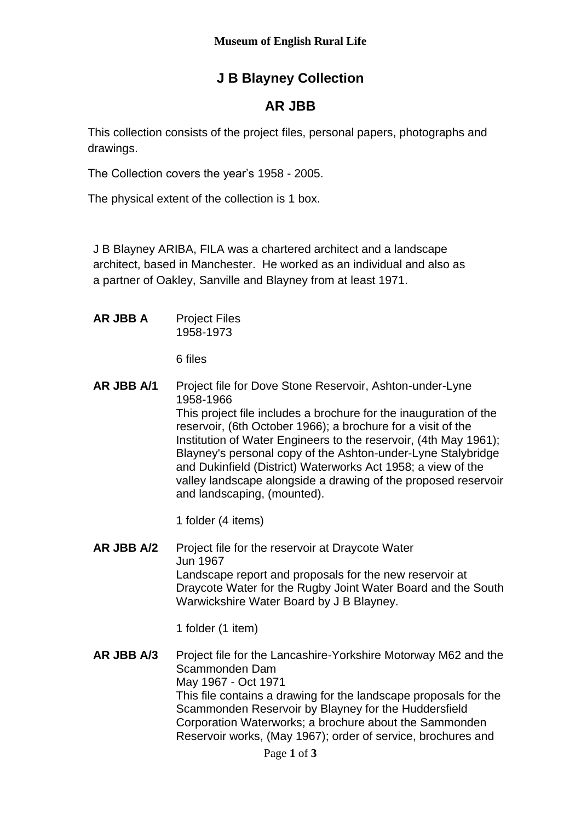## **J B Blayney Collection**

## **AR JBB**

This collection consists of the project files, personal papers, photographs and drawings.

The Collection covers the year's 1958 - 2005.

The physical extent of the collection is 1 box.

J B Blayney ARIBA, FILA was a chartered architect and a landscape architect, based in Manchester. He worked as an individual and also as a partner of Oakley, Sanville and Blayney from at least 1971.

**AR JBB A** Project Files 1958-1973

6 files

**AR JBB A/1** Project file for Dove Stone Reservoir, Ashton-under-Lyne 1958-1966

This project file includes a brochure for the inauguration of the reservoir, (6th October 1966); a brochure for a visit of the Institution of Water Engineers to the reservoir, (4th May 1961); Blayney's personal copy of the Ashton-under-Lyne Stalybridge and Dukinfield (District) Waterworks Act 1958; a view of the valley landscape alongside a drawing of the proposed reservoir and landscaping, (mounted).

1 folder (4 items)

**AR JBB A/2** Project file for the reservoir at Draycote Water Jun 1967 Landscape report and proposals for the new reservoir at Draycote Water for the Rugby Joint Water Board and the South Warwickshire Water Board by J B Blayney.

1 folder (1 item)

**AR JBB A/3** Project file for the Lancashire-Yorkshire Motorway M62 and the Scammonden Dam May 1967 - Oct 1971 This file contains a drawing for the landscape proposals for the Scammonden Reservoir by Blayney for the Huddersfield Corporation Waterworks; a brochure about the Sammonden Reservoir works, (May 1967); order of service, brochures and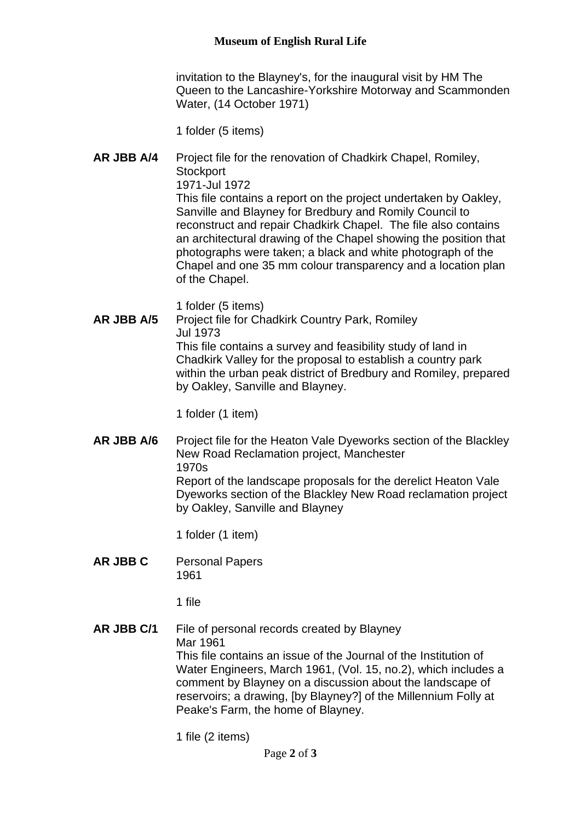## **Museum of English Rural Life**

invitation to the Blayney's, for the inaugural visit by HM The Queen to the Lancashire-Yorkshire Motorway and Scammonden Water, (14 October 1971)

1 folder (5 items)

**AR JBB A/4** Project file for the renovation of Chadkirk Chapel, Romiley, **Stockport** 1971-Jul 1972 This file contains a report on the project undertaken by Oakley, Sanville and Blayney for Bredbury and Romily Council to reconstruct and repair Chadkirk Chapel. The file also contains an architectural drawing of the Chapel showing the position that photographs were taken; a black and white photograph of the Chapel and one 35 mm colour transparency and a location plan of the Chapel.

1 folder (5 items)

**AR JBB A/5** Project file for Chadkirk Country Park, Romiley Jul 1973 This file contains a survey and feasibility study of land in Chadkirk Valley for the proposal to establish a country park within the urban peak district of Bredbury and Romiley, prepared by Oakley, Sanville and Blayney.

1 folder (1 item)

**AR JBB A/6** Project file for the Heaton Vale Dyeworks section of the Blackley New Road Reclamation project, Manchester 1970s Report of the landscape proposals for the derelict Heaton Vale Dyeworks section of the Blackley New Road reclamation project by Oakley, Sanville and Blayney

1 folder (1 item)

**AR JBB C** Personal Papers 1961

1 file

**AR JBB C/1** File of personal records created by Blayney Mar 1961 This file contains an issue of the Journal of the Institution of Water Engineers, March 1961, (Vol. 15, no.2), which includes a comment by Blayney on a discussion about the landscape of reservoirs; a drawing, [by Blayney?] of the Millennium Folly at Peake's Farm, the home of Blayney.

1 file (2 items)